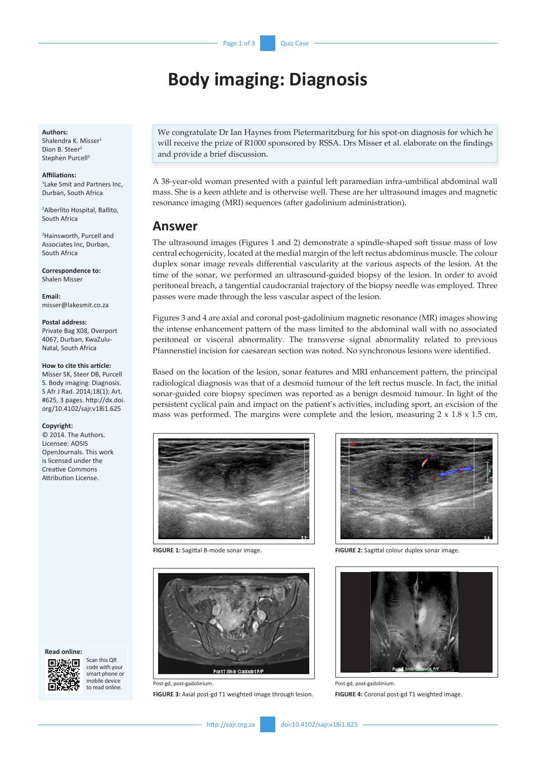# **Body imaging: Diagnosis**

#### **Authors:**

Shalendra K. Misser<sup>1</sup> Dion B. Steer<sup>2</sup> Stephen Purcell<sup>3</sup>

**Affiliations:**

1 Lake Smit and Partners Inc, Durban, South Africa

2 Alberlito Hospital, Ballito, South Africa

3 Hainsworth, Purcell and Associates Inc, Durban, South Africa

**Correspondence to:** Shalen Misser

**Email:** [misser@lakesmit.co.za](mailto:misser@lakesmit.co.za)

#### **Postal address:**

Private Bag X08, Overport 4067, Durban, KwaZulu-Natal, South Africa

#### **How to cite this article:**

Misser SK, Steer DB, Purcell S. Body imaging: Diagnosis. S Afr J Rad. 2014;18(1); Art. #625, 3 pages. [http://dx.doi.](http://dx.doi/org/10.4102/sajr.v18i1.625) [org/10.4102/sajr.v18i1.625](http://dx.doi/org/10.4102/sajr.v18i1.625)

#### **Copyright:**

© 2014. The Authors. Licensee: AOSIS OpenJournals. This work is licensed under the Creative Commons Attribution License.

We congratulate Dr Ian Haynes from Pietermaritzburg for his spot-on diagnosis for which he will receive the prize of R1000 sponsored by RSSA. Drs Misser et al. elaborate on the findings and provide a brief discussion.

A 38-year-old woman presented with a painful left paramedian infra-umbilical abdominal wall mass. She is a keen athlete and is otherwise well. These are her ultrasound images and magnetic resonance imaging (MRI) sequences (after gadolinium administration).

### **Answer**

The ultrasound images (Figures 1 and 2) demonstrate a spindle-shaped soft tissue mass of low central echogenicity, located at the medial margin of the left rectus abdominus muscle. The colour duplex sonar image reveals differential vascularity at the various aspects of the lesion. At the time of the sonar, we performed an ultrasound-guided biopsy of the lesion. In order to avoid peritoneal breach, a tangential caudocranial trajectory of the biopsy needle was employed. Three passes were made through the less vascular aspect of the lesion.

Figures 3 and 4 are axial and coronal post-gadolinium magnetic resonance (MR) images showing the intense enhancement pattern of the mass limited to the abdominal wall with no associated peritoneal or visceral abnormality. The transverse signal abnormality related to previous Pfannenstiel incision for caesarean section was noted. No synchronous lesions were identified.

Based on the location of the lesion, sonar features and MRI enhancement pattern, the principal radiological diagnosis was that of a desmoid tumour of the left rectus muscle. In fact, the initial sonar-guided core biopsy specimen was reported as a benign desmoid tumour. In light of the persistent cyclical pain and impact on the patient's activities, including sport, an excision of the mass was performed. The margins were complete and the lesion, measuring  $2 \times 1.8 \times 1.5$  cm,





Post-gd, post-gadolinium.

**FIGURE 3:** Axial post-gd T1 weighted image through lesion.



**FIGURE 1:** Sagittal B-mode sonar image. **FIGURE 2:** Sagittal colour duplex sonar image.



Post-gd, post-gadolinium. **FIGURE 4:** Coronal post-gd T1 weighted image.

#### **Read online:**

Scan this QR code with your smart phone or mobile device to read online.

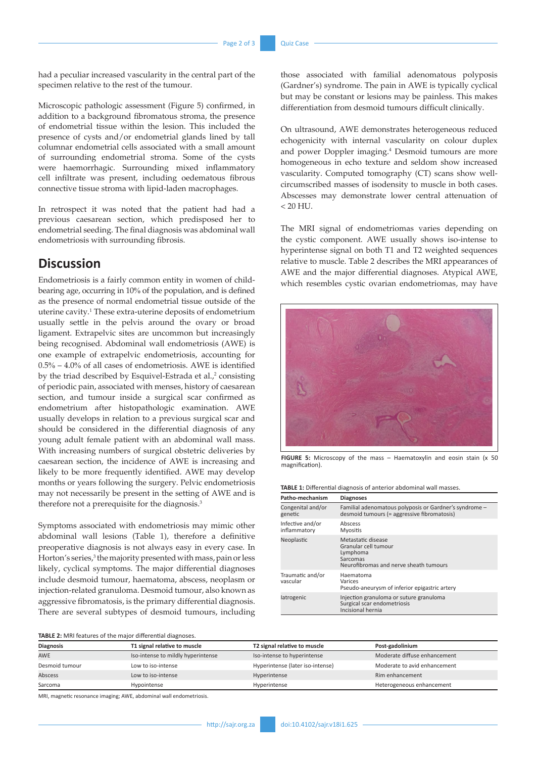had a peculiar increased vascularity in the central part of the specimen relative to the rest of the tumour.

Microscopic pathologic assessment (Figure 5) confirmed, in addition to a background fibromatous stroma, the presence of endometrial tissue within the lesion. This included the presence of cysts and/or endometrial glands lined by tall columnar endometrial cells associated with a small amount of surrounding endometrial stroma. Some of the cysts were haemorrhagic. Surrounding mixed inflammatory cell infiltrate was present, including oedematous fibrous connective tissue stroma with lipid-laden macrophages.

In retrospect it was noted that the patient had had a previous caesarean section, which predisposed her to endometrial seeding. The final diagnosis was abdominal wall endometriosis with surrounding fibrosis.

## **Discussion**

Endometriosis is a fairly common entity in women of childbearing age, occurring in 10% of the population, and is defined as the presence of normal endometrial tissue outside of the uterine cavity.<sup>1</sup> These extra-uterine deposits of endometrium usually settle in the pelvis around the ovary or broad ligament. Extrapelvic sites are uncommon but increasingly being recognised. Abdominal wall endometriosis (AWE) is one example of extrapelvic endometriosis, accounting for 0.5% – 4.0% of all cases of endometriosis. AWE is identified by the triad described by Esquivel-Estrada et al.,<sup>2</sup> consisting of periodic pain, associated with menses, history of caesarean section, and tumour inside a surgical scar confirmed as endometrium after histopathologic examination. AWE usually develops in relation to a previous surgical scar and should be considered in the differential diagnosis of any young adult female patient with an abdominal wall mass. With increasing numbers of surgical obstetric deliveries by caesarean section, the incidence of AWE is increasing and likely to be more frequently identified. AWE may develop months or years following the surgery. Pelvic endometriosis may not necessarily be present in the setting of AWE and is therefore not a prerequisite for the diagnosis.<sup>3</sup>

Symptoms associated with endometriosis may mimic other abdominal wall lesions (Table 1), therefore a definitive preoperative diagnosis is not always easy in every case. In Horton's series,<sup>3</sup> the majority presented with mass, pain or less likely, cyclical symptoms. The major differential diagnoses include desmoid tumour, haematoma, abscess, neoplasm or injection-related granuloma. Desmoid tumour, also known as aggressive fibromatosis, is the primary differential diagnosis. There are several subtypes of desmoid tumours, including

those associated with familial adenomatous polyposis (Gardner's) syndrome. The pain in AWE is typically cyclical but may be constant or lesions may be painless. This makes differentiation from desmoid tumours difficult clinically.

On ultrasound, AWE demonstrates heterogeneous reduced echogenicity with internal vascularity on colour duplex and power Doppler imaging.4 Desmoid tumours are more homogeneous in echo texture and seldom show increased vascularity. Computed tomography (CT) scans show wellcircumscribed masses of isodensity to muscle in both cases. Abscesses may demonstrate lower central attenuation of  $< 20$  HU.

The MRI signal of endometriomas varies depending on the cystic component. AWE usually shows iso-intense to hyperintense signal on both T1 and T2 weighted sequences relative to muscle. Table 2 describes the MRI appearances of AWE and the major differential diagnoses. Atypical AWE, which resembles cystic ovarian endometriomas, may have



FIGURE 5: Microscopy of the mass - Haematoxylin and eosin stain (x 50 magnification).

**TABLE 1:** Differential diagnosis of anterior abdominal wall masses.

| Patho-mechanism                  | <b>Diagnoses</b>                                                                                             |  |
|----------------------------------|--------------------------------------------------------------------------------------------------------------|--|
| Congenital and/or<br>genetic     | Familial adenomatous polyposis or Gardner's syndrome -<br>desmoid tumours (= aggressive fibromatosis)        |  |
| Infective and/or<br>inflammatory | Abscess<br>Myositis                                                                                          |  |
| Neoplastic                       | Metastatic disease<br>Granular cell tumour<br>Lymphoma<br>Sarcomas<br>Neurofibromas and nerve sheath tumours |  |
| Traumatic and/or<br>vascular     | Haematoma<br>Varices<br>Pseudo-aneurysm of inferior epigastric artery                                        |  |
| latrogenic                       | Injection granuloma or suture granuloma<br>Surgical scar endometriosis<br>Incisional hernia                  |  |

**TABLE 2:** MRI features of the major differential diagnoses.

| <b>Diagnosis</b> | T1 signal relative to muscle       | T2 signal relative to muscle     | Post-gadolinium              |
|------------------|------------------------------------|----------------------------------|------------------------------|
| <b>AWE</b>       | Iso-intense to mildly hyperintense | Iso-intense to hyperintense      | Moderate diffuse enhancement |
| Desmoid tumour   | Low to iso-intense                 | Hyperintense (later iso-intense) | Moderate to avid enhancement |
| Abscess          | Low to iso-intense                 | Hyperintense                     | Rim enhancement              |
| Sarcoma          | Hypointense                        | Hyperintense                     | Heterogeneous enhancement    |

MRI, magnetic resonance imaging; AWE, abdominal wall endometriosis.